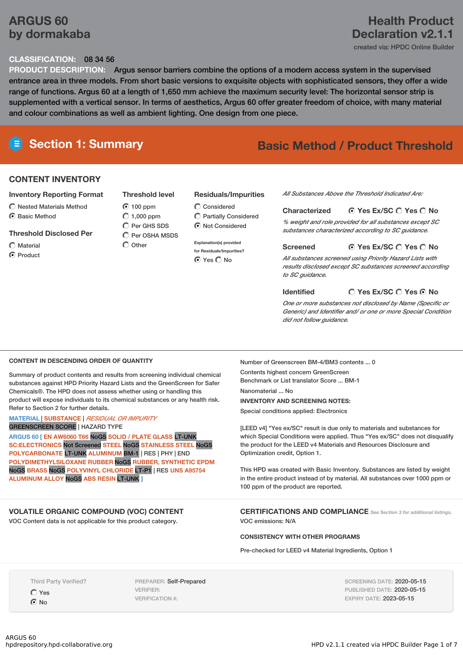# **ARGUS 60 by dormakaba**

# **Health Product Declaration v2.1.1**

created via: HPDC Online Builder

#### **CLASSIFICATION:** 08 34 56

**PRODUCT DESCRIPTION:** Argus sensor barriers combine the options of a modern access system in the supervised entrance area in three models. From short basic versions to exquisite objects with sophisticated sensors, they offer a wide range of functions. Argus 60 at a length of 1,650 mm achieve the maximum security level: The horizontal sensor strip is supplemented with a vertical sensor. In terms of aesthetics, Argus 60 offer greater freedom of choice, with many material and colour combinations as well as ambient lighting. One design from one piece.

# **Section 1: Summary Basic Method / Product Threshold**

#### **CONTENT INVENTORY**

#### **Inventory Reporting Format**

 $\bigcirc$  Nested Materials Method C Basic Method

#### **Threshold Disclosed Per**

- Material
- C Product

#### **Threshold level**

- $\odot$  100 ppm  $O$  1,000 ppm Per GHS SDS C Per OSHA MSDS
- $\bigcap$  Other

#### **Residuals/Impurities**

- Considered Partially Considered  $\odot$  Not Considered
- **Explanation(s) provided for Residuals/Impurities?** O Yes O No

*All Substances Above the Threshold Indicated Are:*

**Yes Ex/SC Yes No Characterized** *% weight and role provided for all substances except SC substances characterized according to SC guidance.*

#### **Yes Ex/SC Yes No Screened**

*All substances screened using Priority Hazard Lists with results disclosed except SC substances screened according to SC guidance.*

#### **Identified**

#### **Yes Ex/SC Yes No**

*One or more substances not disclosed by Name (Specific or Generic) and Identifier and/ or one or more Special Condition did not follow guidance.*

#### **CONTENT IN DESCENDING ORDER OF QUANTITY**

Summary of product contents and results from screening individual chemical substances against HPD Priority Hazard Lists and the GreenScreen for Safer Chemicals®. The HPD does not assess whether using or handling this product will expose individuals to its chemical substances or any health risk. Refer to Section 2 for further details.

**MATERIAL** | **SUBSTANCE** | *RESIDUAL OR IMPURITY* GREENSCREEN SCORE | HAZARD TYPE

**ARGUS 60 [ EN AW6060 T66** NoGS **SOLID / PLATE GLASS** LT-UNK **SC:ELECTRONICS** Not Screened **STEEL** NoGS **STAINLESS STEEL** NoGS **POLYCARBONATE** LT-UNK **ALUMINUM** BM-1 | RES | PHY | END **POLYDIMETHYLSILOXANE RUBBER** NoGS **RUBBER, SYNTHETIC EPDM** NoGS **BRASS** NoGS **POLYVINYL CHLORIDE** LT-P1 | RES **UNS A95754 ALUMINUM ALLOY** NoGS **ABS RESIN** LT-UNK **]**

#### **VOLATILE ORGANIC COMPOUND (VOC) CONTENT**

VOC Content data is not applicable for this product category.

Number of Greenscreen BM-4/BM3 contents ... 0

Contents highest concern GreenScreen Benchmark or List translator Score ... BM-1 Nanomaterial No **INVENTORY AND SCREENING NOTES:**

Special conditions applied: Electronics

[LEED v4] "Yes ex/SC" result is due only to materials and substances for which Special Conditions were applied. Thus "Yes ex/SC" does not disqualify the product for the LEED v4 Materials and Resources Disclosure and Optimization credit, Option 1.

This HPD was created with Basic Inventory. Substances are listed by weight in the entire product instead of by material. All substances over 1000 ppm or 100 ppm of the product are reported.

**CERTIFICATIONS AND COMPLIANCE** *See Section <sup>3</sup> for additional listings.* VOC emissions: N/A

#### **CONSISTENCY WITH OTHER PROGRAMS**

Pre-checked for LEED v4 Material Ingredients, Option 1

Third Party Verified?

Yes  $\odot$  No

PREPARER: Self-Prepared VERIFIER: VERIFICATION #:

SCREENING DATE: 2020-05-15 PUBLISHED DATE: 2020-05-15 EXPIRY DATE: 2023-05-15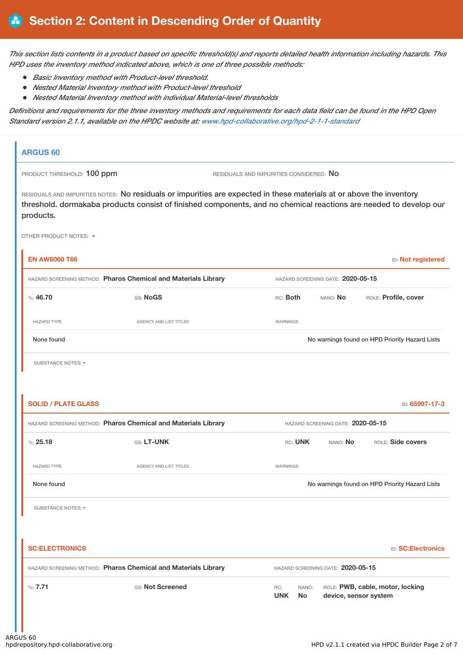This section lists contents in a product based on specific threshold(s) and reports detailed health information including hazards. This *HPD uses the inventory method indicated above, which is one of three possible methods:*

- *Basic Inventory method with Product-level threshold.*
- *Nested Material Inventory method with Product-level threshold*
- *Nested Material Inventory method with individual Material-level thresholds*

Definitions and requirements for the three inventory methods and requirements for each data field can be found in the HPD Open *Standard version 2.1.1, available on the HPDC website at: [www.hpd-collaborative.org/hpd-2-1-1-standard](https://www.hpd-collaborative.org/hpd-2-1-1-standard)*

# **ARGUS 60** PRODUCT THRESHOLD: 100 ppm RESIDUALS AND IMPURITIES CONSIDERED: No RESIDUALS AND IMPURITIES NOTES: No residuals or impurities are expected in these materials at or above the inventory threshold. dormakaba products consist of finished components, and no chemical reactions are needed to develop our products. OTHER PRODUCT NOTES: - **EN AW6060 T66** ID: **Not registered** HAZARD SCREENING METHOD: **Pharos Chemical and Materials Library** HAZARD SCREENING DATE: **2020-05-15** %: **46.70** GS: **NoGS** RC: **Both** NANO: **No** ROLE: **Profile, cover** HAZARD TYPE **AGENCY AND LIST TITLES** WARNINGS None found Nowarnings found on HPD Priority Hazard Lists SUBSTANCE NOTES: -**SOLID / PLATE GLASS** ID: **65997-17-3** HAZARD SCREENING METHOD: **Pharos Chemical and Materials Library** HAZARD SCREENING DATE: **2020-05-15** %: **25.18** GS: **LT-UNK** RC: **UNK** NANO: **No** ROLE: **Side covers** HAZARD TYPE THE RESERVED OF AGENCY AND LIST TITLES THE RESERVED OF A GENOME OF A GENOME AGENCY AND LIST TITLES None found Nowarnings found on HPD Priority Hazard Lists SUBSTANCE NOTES: -**SC:ELECTRONICS** ID: **SC:Electronics** HAZARD SCREENING METHOD: **Pharos Chemical and Materials Library** HAZARD SCREENING DATE: **2020-05-15** %: **7.71** GS: **Not Screened** RC: **UNK** NANO: ROLE: **PWB, cable, motor, locking No device, sensor system**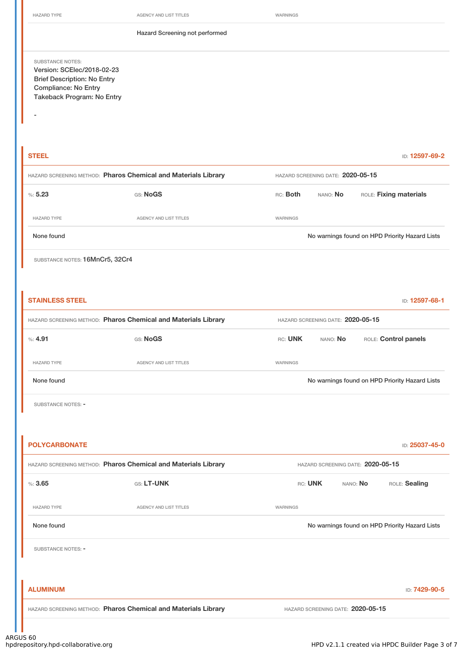-

HAZARD TYPE **AGENCY AND LIST TITLES** WARNINGS

Hazard Screening not performed

SUBSTANCE NOTES: Version: SCElec/2018-02-23 Brief Description: No Entry Compliance: No Entry Takeback Program: No Entry

**STEEL** ID: **12597-69-2** HAZARD SCREENING METHOD: **Pharos Chemical and Materials Library** HAZARD SCREENING DATE: **2020-05-15** %: **5.23** GS: **NoGS** RC: **Both** NANO: **No** ROLE: **Fixing materials** HAZARD TYPE **AGENCY AND LIST TITLES AGENCY AND LIST TITLES** WARNINGS None found No warnings found on HPD Priority Hazard Lists

SUBSTANCE NOTES: 16MnCr5, 32Cr4

| <b>STAINLESS STEEL</b>                                         |                                                                |                                   |                                   |          | ID: 12597-68-1                                 |  |
|----------------------------------------------------------------|----------------------------------------------------------------|-----------------------------------|-----------------------------------|----------|------------------------------------------------|--|
| HAZARD SCREENING METHOD: Pharos Chemical and Materials Library |                                                                |                                   | HAZARD SCREENING DATE: 2020-05-15 |          |                                                |  |
| %: 4.91                                                        | GS: NoGS                                                       | RC: UNK                           | NANO: No                          |          | ROLE: Control panels                           |  |
| <b>HAZARD TYPE</b>                                             | AGENCY AND LIST TITLES                                         | WARNINGS                          |                                   |          |                                                |  |
| None found                                                     |                                                                |                                   |                                   |          | No warnings found on HPD Priority Hazard Lists |  |
| SUBSTANCE NOTES: -                                             |                                                                |                                   |                                   |          |                                                |  |
|                                                                |                                                                |                                   |                                   |          |                                                |  |
| <b>POLYCARBONATE</b>                                           |                                                                |                                   |                                   |          | ID: 25037-45-0                                 |  |
| HAZARD SCREENING METHOD: Pharos Chemical and Materials Library |                                                                | HAZARD SCREENING DATE: 2020-05-15 |                                   |          |                                                |  |
| %3.65                                                          | GS: LT-UNK                                                     | RC: UNK                           |                                   | NANO: No | ROLE: Sealing                                  |  |
| <b>HAZARD TYPE</b>                                             | AGENCY AND LIST TITLES                                         | WARNINGS                          |                                   |          |                                                |  |
| None found                                                     |                                                                |                                   |                                   |          | No warnings found on HPD Priority Hazard Lists |  |
| SUBSTANCE NOTES: -                                             |                                                                |                                   |                                   |          |                                                |  |
|                                                                |                                                                |                                   |                                   |          |                                                |  |
| <b>ALUMINUM</b>                                                |                                                                |                                   |                                   |          | ID: 7429-90-5                                  |  |
|                                                                | HAZARD SCREENING METHOD: Pharos Chemical and Materials Library |                                   | HAZARD SCREENING DATE: 2020-05-15 |          |                                                |  |
|                                                                |                                                                |                                   |                                   |          |                                                |  |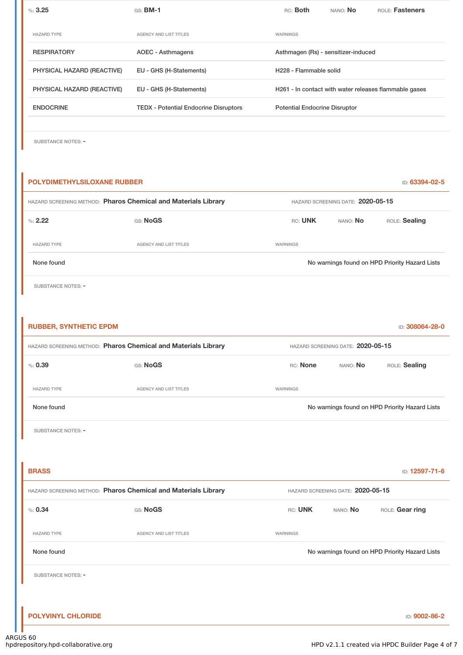| %3.25                      | $GS:$ BM-1                                   | RC: Both                             | NANO: <b>No</b> | <b>ROLE: Fasteners</b>                                |
|----------------------------|----------------------------------------------|--------------------------------------|-----------------|-------------------------------------------------------|
|                            |                                              |                                      |                 |                                                       |
| <b>HAZARD TYPE</b>         | <b>AGENCY AND LIST TITLES</b>                | WARNINGS                             |                 |                                                       |
| <b>RESPIRATORY</b>         | AOEC - Asthmagens                            | Asthmagen (Rs) - sensitizer-induced  |                 |                                                       |
| PHYSICAL HAZARD (REACTIVE) | EU - GHS (H-Statements)                      | H <sub>228</sub> - Flammable solid   |                 |                                                       |
| PHYSICAL HAZARD (REACTIVE) | EU - GHS (H-Statements)                      |                                      |                 | H261 - In contact with water releases flammable gases |
| <b>ENDOCRINE</b>           | <b>TEDX</b> - Potential Endocrine Disruptors | <b>Potential Endocrine Disruptor</b> |                 |                                                       |
|                            |                                              |                                      |                 |                                                       |

SUBSTANCE NOTES: -

# **POLYDIMETHYLSILOXANE RUBBER** ID: **63394-02-5** HAZARD SCREENING METHOD: **Pharos Chemical and Materials Library** HAZARD SCREENING DATE: **2020-05-15** %: **2.22** GS: **NoGS** RC: **UNK** NANO: **No** ROLE: **Sealing** HAZARD TYPE **AGENCY AND LIST TITLES** WARNINGS None found Nowarnings found on HPD Priority Hazard Lists SUBSTANCE NOTES: -**RUBBER, SYNTHETIC EPDM** ID: **308064-28-0** HAZARD SCREENING METHOD: **Pharos Chemical and Materials Library** HAZARD SCREENING DATE: **2020-05-15** %: **0.39** GS: **NoGS** RC: **None** NANO: **No** ROLE: **Sealing** HAZARD TYPE **AGENCY AND LIST TITLES WARNINGS** None found Nowarnings found on HPD Priority Hazard Lists SUBSTANCE NOTES: -**BRASS** ID: **12597-71-6** HAZARD SCREENING METHOD: **Pharos Chemical and Materials Library** HAZARD SCREENING DATE: **2020-05-15** %: 0.34 GS: Nogs CS: Nogs CS: Nogs CS: Nogs CS: Nogs CS: Nogs CS: UNK NANO: No HAZARD TYPE **AGENCY AND LIST TITLES AGENCY AND LIST TITLES** None found Nowarnings found on HPD Priority Hazard Lists SUBSTANCE NOTES: -

**POLYVINYL CHLORIDE** ID: **9002-86-2**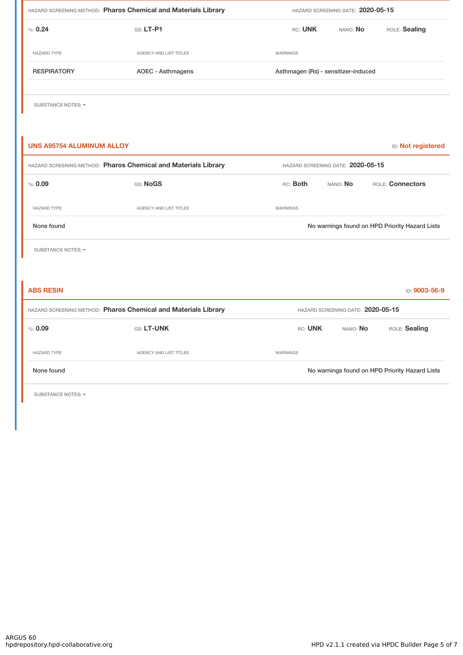| HAZARD SCREENING METHOD: Pharos Chemical and Materials Library |                        | HAZARD SCREENING DATE: 2020-05-15   |          |                                                |  |
|----------------------------------------------------------------|------------------------|-------------------------------------|----------|------------------------------------------------|--|
| % 0.24                                                         | GS: LT-P1              | RC: UNK                             | NANO: No | ROLE: Sealing                                  |  |
| <b>HAZARD TYPE</b>                                             | AGENCY AND LIST TITLES | WARNINGS                            |          |                                                |  |
| <b>RESPIRATORY</b>                                             | AOEC - Asthmagens      | Asthmagen (Rs) - sensitizer-induced |          |                                                |  |
| SUBSTANCE NOTES: -                                             |                        |                                     |          |                                                |  |
| <b>UNS A95754 ALUMINUM ALLOY</b>                               |                        |                                     |          | ID: Not registered                             |  |
| HAZARD SCREENING METHOD: Pharos Chemical and Materials Library |                        | HAZARD SCREENING DATE: 2020-05-15   |          |                                                |  |
| % : 0.09                                                       | GS: NoGS               | RC: Both                            | NANO: No | ROLE: Connectors                               |  |
| <b>HAZARD TYPE</b>                                             | AGENCY AND LIST TITLES | <b>WARNINGS</b>                     |          |                                                |  |
| None found                                                     |                        |                                     |          | No warnings found on HPD Priority Hazard Lists |  |
| <b>SUBSTANCE NOTES: -</b>                                      |                        |                                     |          |                                                |  |
|                                                                |                        |                                     |          |                                                |  |
| <b>ABS RESIN</b>                                               |                        |                                     |          | ID: 9003-56-9                                  |  |
| HAZARD SCREENING METHOD: Pharos Chemical and Materials Library |                        | HAZARD SCREENING DATE: 2020-05-15   |          |                                                |  |
| % : 0.09                                                       | GS: LT-UNK             | RC: UNK                             | NANO: No | ROLE: Sealing                                  |  |
| <b>HAZARD TYPE</b>                                             | AGENCY AND LIST TITLES | WARNINGS                            |          |                                                |  |
| None found                                                     |                        |                                     |          | No warnings found on HPD Priority Hazard Lists |  |

SUBSTANCE NOTES: -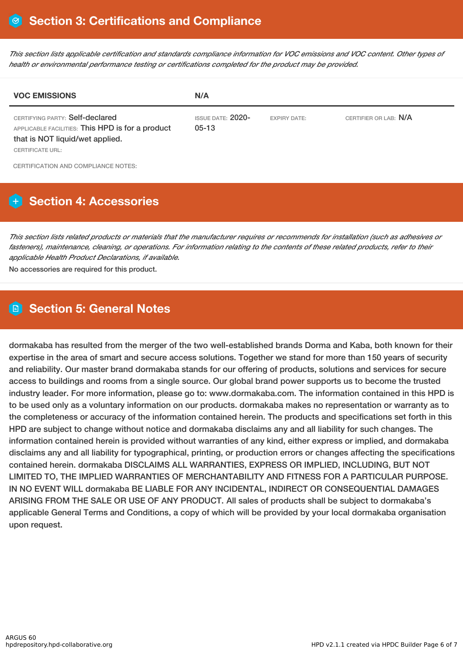This section lists applicable certification and standards compliance information for VOC emissions and VOC content. Other types of *health or environmental performance testing or certifications completed for the product may be provided.*

| <b>VOC EMISSIONS</b>                                                                                                                       | N/A                                 |                     |                       |
|--------------------------------------------------------------------------------------------------------------------------------------------|-------------------------------------|---------------------|-----------------------|
| CERTIFYING PARTY: Self-declared<br>APPLICABLE FACILITIES: This HPD is for a product<br>that is NOT liquid/wet applied.<br>CERTIFICATE URL: | <b>ISSUE DATE: 2020-</b><br>$05-13$ | <b>EXPIRY DATE:</b> | CERTIFIER OR LAB: N/A |
| CERTIFICATION AND COMPLIANCE NOTES:                                                                                                        |                                     |                     |                       |

# **H** Section 4: Accessories

This section lists related products or materials that the manufacturer requires or recommends for installation (such as adhesives or fasteners), maintenance, cleaning, or operations. For information relating to the contents of these related products, refer to their *applicable Health Product Declarations, if available.*

No accessories are required for this product.

## **Section 5: General Notes**

dormakaba has resulted from the merger of the two well-established brands Dorma and Kaba, both known for their expertise in the area of smart and secure access solutions. Together we stand for more than 150 years of security and reliability. Our master brand dormakaba stands for our offering of products, solutions and services for secure access to buildings and rooms from a single source. Our global brand power supports us to become the trusted industry leader. For more information, please go to: www.dormakaba.com. The information contained in this HPD is to be used only as a voluntary information on our products. dormakaba makes no representation or warranty as to the completeness or accuracy of the information contained herein. The products and specifications set forth in this HPD are subject to change without notice and dormakaba disclaims any and all liability for such changes. The information contained herein is provided without warranties of any kind, either express or implied, and dormakaba disclaims any and all liability for typographical, printing, or production errors or changes affecting the specifications contained herein. dormakaba DISCLAIMS ALL WARRANTIES, EXPRESS OR IMPLIED, INCLUDING, BUT NOT LIMITED TO, THE IMPLIED WARRANTIES OF MERCHANTABILITY AND FITNESS FOR A PARTICULAR PURPOSE. IN NO EVENT WILL dormakaba BE LIABLE FOR ANY INCIDENTAL, INDIRECT OR CONSEQUENTIAL DAMAGES ARISING FROM THE SALE OR USE OF ANY PRODUCT. All sales of products shall be subject to dormakaba's applicable General Terms and Conditions, a copy of which will be provided by your local dormakaba organisation upon request.